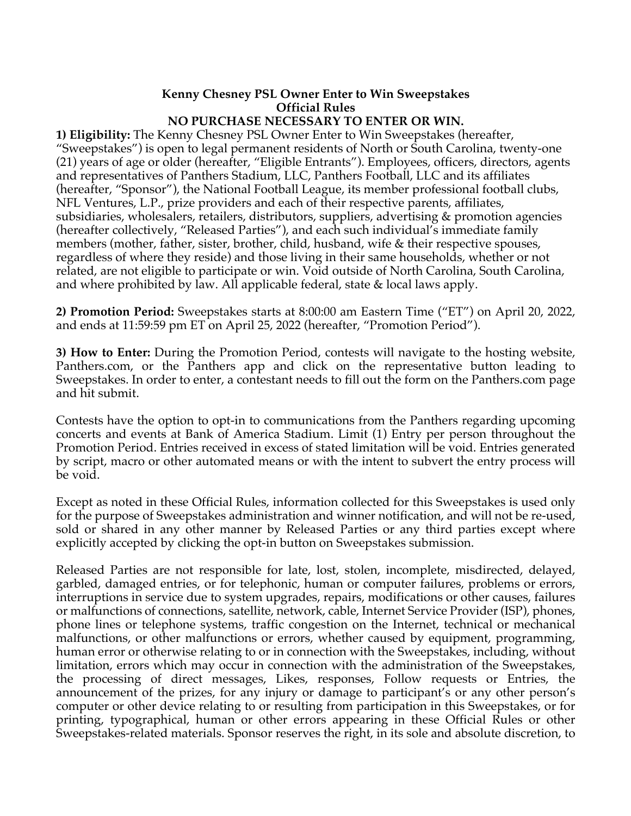## **Kenny Chesney PSL Owner Enter to Win Sweepstakes Official Rules**

## **NO PURCHASE NECESSARY TO ENTER OR WIN.**

**1) Eligibility:** The Kenny Chesney PSL Owner Enter to Win Sweepstakes (hereafter, "Sweepstakes") is open to legal permanent residents of North or South Carolina, twenty-one (21) years of age or older (hereafter, "Eligible Entrants"). Employees, officers, directors, agents and representatives of Panthers Stadium, LLC, Panthers Football, LLC and its affiliates (hereafter, "Sponsor"), the National Football League, its member professional football clubs, NFL Ventures, L.P., prize providers and each of their respective parents, affiliates, subsidiaries, wholesalers, retailers, distributors, suppliers, advertising & promotion agencies (hereafter collectively, "Released Parties"), and each such individual's immediate family members (mother, father, sister, brother, child, husband, wife & their respective spouses, regardless of where they reside) and those living in their same households, whether or not related, are not eligible to participate or win. Void outside of North Carolina, South Carolina, and where prohibited by law. All applicable federal, state & local laws apply.

**2) Promotion Period:** Sweepstakes starts at 8:00:00 am Eastern Time ("ET") on April 20, 2022, and ends at 11:59:59 pm ET on April 25, 2022 (hereafter, "Promotion Period").

**3) How to Enter:** During the Promotion Period, contests will navigate to the hosting website, Panthers.com, or the Panthers app and click on the representative button leading to Sweepstakes. In order to enter, a contestant needs to fill out the form on the Panthers.com page and hit submit.

Contests have the option to opt-in to communications from the Panthers regarding upcoming concerts and events at Bank of America Stadium. Limit (1) Entry per person throughout the Promotion Period. Entries received in excess of stated limitation will be void. Entries generated by script, macro or other automated means or with the intent to subvert the entry process will be void.

Except as noted in these Official Rules, information collected for this Sweepstakes is used only for the purpose of Sweepstakes administration and winner notification, and will not be re-used, sold or shared in any other manner by Released Parties or any third parties except where explicitly accepted by clicking the opt-in button on Sweepstakes submission.

Released Parties are not responsible for late, lost, stolen, incomplete, misdirected, delayed, garbled, damaged entries, or for telephonic, human or computer failures, problems or errors, interruptions in service due to system upgrades, repairs, modifications or other causes, failures or malfunctions of connections, satellite, network, cable, Internet Service Provider (ISP), phones, phone lines or telephone systems, traffic congestion on the Internet, technical or mechanical malfunctions, or other malfunctions or errors, whether caused by equipment, programming, human error or otherwise relating to or in connection with the Sweepstakes, including, without limitation, errors which may occur in connection with the administration of the Sweepstakes, the processing of direct messages, Likes, responses, Follow requests or Entries, the announcement of the prizes, for any injury or damage to participant's or any other person's computer or other device relating to or resulting from participation in this Sweepstakes, or for printing, typographical, human or other errors appearing in these Official Rules or other Sweepstakes-related materials. Sponsor reserves the right, in its sole and absolute discretion, to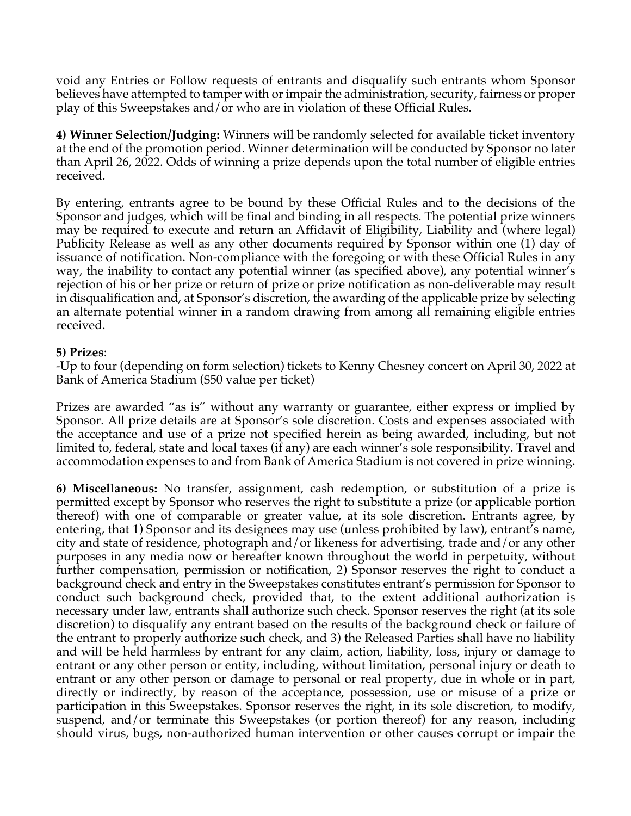void any Entries or Follow requests of entrants and disqualify such entrants whom Sponsor believes have attempted to tamper with or impair the administration, security, fairness or proper play of this Sweepstakes and/or who are in violation of these Official Rules.

**4) Winner Selection/Judging:** Winners will be randomly selected for available ticket inventory at the end of the promotion period. Winner determination will be conducted by Sponsor no later than April 26, 2022. Odds of winning a prize depends upon the total number of eligible entries received.

By entering, entrants agree to be bound by these Official Rules and to the decisions of the Sponsor and judges, which will be final and binding in all respects. The potential prize winners may be required to execute and return an Affidavit of Eligibility, Liability and (where legal) Publicity Release as well as any other documents required by Sponsor within one (1) day of issuance of notification. Non-compliance with the foregoing or with these Official Rules in any way, the inability to contact any potential winner (as specified above), any potential winner's rejection of his or her prize or return of prize or prize notification as non-deliverable may result in disqualification and, at Sponsor's discretion, the awarding of the applicable prize by selecting an alternate potential winner in a random drawing from among all remaining eligible entries received.

## **5) Prizes**:

-Up to four (depending on form selection) tickets to Kenny Chesney concert on April 30, 2022 at Bank of America Stadium (\$50 value per ticket)

Prizes are awarded "as is" without any warranty or guarantee, either express or implied by Sponsor. All prize details are at Sponsor's sole discretion. Costs and expenses associated with the acceptance and use of a prize not specified herein as being awarded, including, but not limited to, federal, state and local taxes (if any) are each winner's sole responsibility. Travel and accommodation expenses to and from Bank of America Stadium is not covered in prize winning.

**6) Miscellaneous:** No transfer, assignment, cash redemption, or substitution of a prize is permitted except by Sponsor who reserves the right to substitute a prize (or applicable portion thereof) with one of comparable or greater value, at its sole discretion. Entrants agree, by entering, that 1) Sponsor and its designees may use (unless prohibited by law), entrant's name, city and state of residence, photograph and/or likeness for advertising, trade and/or any other purposes in any media now or hereafter known throughout the world in perpetuity, without further compensation, permission or notification, 2) Sponsor reserves the right to conduct a background check and entry in the Sweepstakes constitutes entrant's permission for Sponsor to conduct such background check, provided that, to the extent additional authorization is necessary under law, entrants shall authorize such check. Sponsor reserves the right (at its sole discretion) to disqualify any entrant based on the results of the background check or failure of the entrant to properly authorize such check, and 3) the Released Parties shall have no liability and will be held harmless by entrant for any claim, action, liability, loss, injury or damage to entrant or any other person or entity, including, without limitation, personal injury or death to entrant or any other person or damage to personal or real property, due in whole or in part, directly or indirectly, by reason of the acceptance, possession, use or misuse of a prize or participation in this Sweepstakes. Sponsor reserves the right, in its sole discretion, to modify, suspend, and/or terminate this Sweepstakes (or portion thereof) for any reason, including should virus, bugs, non-authorized human intervention or other causes corrupt or impair the